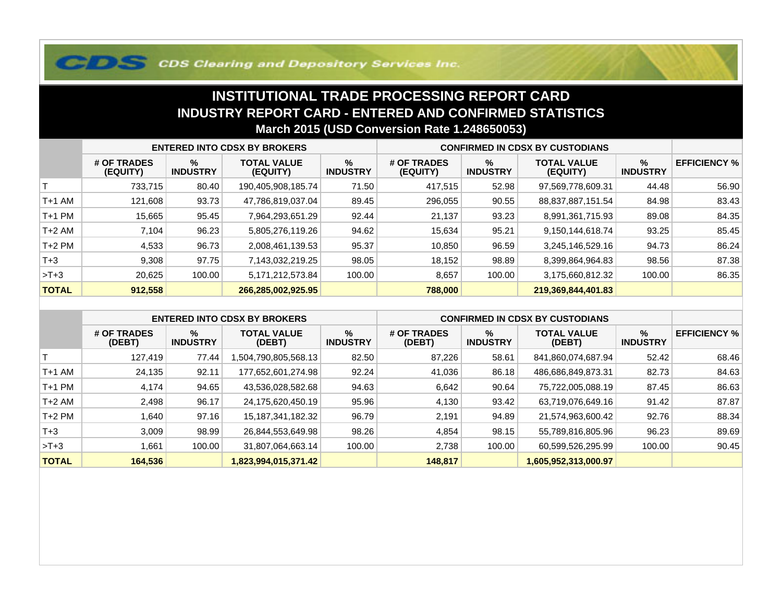## **COS Clearing and Depository Services Inc.**

## **INSTITUTIONAL TRADE PROCESSING REPORT CARD INDUSTRY REPORT CARD - ENTERED AND CONFIRMED STATISTICSMarch 2015 (USD Conversion Rate 1.248650053)**

|              | <b>ENTERED INTO CDSX BY BROKERS</b> |                         |                                |                         | <b>CONFIRMED IN CDSX BY CUSTODIANS</b> |                         |                                |                      |                     |
|--------------|-------------------------------------|-------------------------|--------------------------------|-------------------------|----------------------------------------|-------------------------|--------------------------------|----------------------|---------------------|
|              | # OF TRADES<br>(EQUITY)             | $\%$<br><b>INDUSTRY</b> | <b>TOTAL VALUE</b><br>(EQUITY) | $\%$<br><b>INDUSTRY</b> | # OF TRADES<br>(EQUITY)                | $\%$<br><b>INDUSTRY</b> | <b>TOTAL VALUE</b><br>(EQUITY) | %<br><b>INDUSTRY</b> | <b>EFFICIENCY %</b> |
|              | 733,715                             | 80.40                   | 190,405,908,185.74             | 71.50                   | 417,515                                | 52.98                   | 97,569,778,609.31              | 44.48                | 56.90               |
| T+1 AM       | 121,608                             | 93.73                   | 47,786,819,037.04              | 89.45                   | 296,055                                | 90.55                   | 88,837,887,151.54              | 84.98                | 83.43               |
| T+1 PM       | 15,665                              | 95.45                   | 7,964,293,651.29               | 92.44                   | 21,137                                 | 93.23                   | 8,991,361,715.93               | 89.08                | 84.35               |
| T+2 AM       | 7,104                               | 96.23                   | 5,805,276,119.26               | 94.62                   | 15,634                                 | 95.21                   | 9,150,144,618.74               | 93.25                | 85.45               |
| $T+2$ PM     | 4,533                               | 96.73                   | 2,008,461,139.53               | 95.37                   | 10,850                                 | 96.59                   | 3,245,146,529.16               | 94.73                | 86.24               |
| $T+3$        | 9,308                               | 97.75                   | 7,143,032,219.25               | 98.05                   | 18,152                                 | 98.89                   | 8,399,864,964.83               | 98.56                | 87.38               |
| $>T+3$       | 20,625                              | 100.00                  | 5,171,212,573.84               | 100.00                  | 8,657                                  | 100.00                  | 3,175,660,812.32               | 100.00               | 86.35               |
| <b>TOTAL</b> | 912,558                             |                         | 266,285,002,925.95             |                         | 788,000                                |                         | 219,369,844,401.83             |                      |                     |

|              | <b>ENTERED INTO CDSX BY BROKERS</b> |                         |                              |                         | <b>CONFIRMED IN CDSX BY CUSTODIANS</b> |                         |                              |                         |                     |
|--------------|-------------------------------------|-------------------------|------------------------------|-------------------------|----------------------------------------|-------------------------|------------------------------|-------------------------|---------------------|
|              | # OF TRADES<br>(DEBT)               | $\%$<br><b>INDUSTRY</b> | <b>TOTAL VALUE</b><br>(DEBT) | $\%$<br><b>INDUSTRY</b> | # OF TRADES<br>(DEBT)                  | $\%$<br><b>INDUSTRY</b> | <b>TOTAL VALUE</b><br>(DEBT) | $\%$<br><b>INDUSTRY</b> | <b>EFFICIENCY %</b> |
|              | 127.419                             | 77.44                   | 13.568.13/http://            | 82.50                   | 87,226                                 | 58.61                   | 841,860,074,687.94           | 52.42                   | 68.46               |
| $T+1$ AM     | 24,135                              | 92.11                   | 177,652,601,274.98           | 92.24                   | 41,036                                 | 86.18                   | 486,686,849,873.31           | 82.73                   | 84.63               |
| $T+1$ PM     | 4,174                               | 94.65                   | 43,536,028,582.68            | 94.63                   | 6,642                                  | 90.64                   | 75,722,005,088.19            | 87.45                   | 86.63               |
| $T+2$ AM     | 2,498                               | 96.17                   | 24,175,620,450.19            | 95.96                   | 4,130                                  | 93.42                   | 63,719,076,649.16            | 91.42                   | 87.87               |
| $T+2$ PM     | .640                                | 97.16                   | 15, 187, 341, 182. 32        | 96.79                   | 2,191                                  | 94.89                   | 21,574,963,600.42            | 92.76                   | 88.34               |
| $T+3$        | 3,009                               | 98.99                   | 26,844,553,649.98            | 98.26                   | 4.854                                  | 98.15                   | 55,789,816,805.96            | 96.23                   | 89.69               |
| $>T+3$       | .661                                | 100.00                  | 31,807,064,663.14            | 100.00                  | 2,738                                  | 100.00                  | 60,599,526,295.99            | 100.00                  | 90.45               |
| <b>TOTAL</b> | 164,536                             |                         | 1,823,994,015,371.42         |                         | 148,817                                |                         | 1,605,952,313,000.97         |                         |                     |